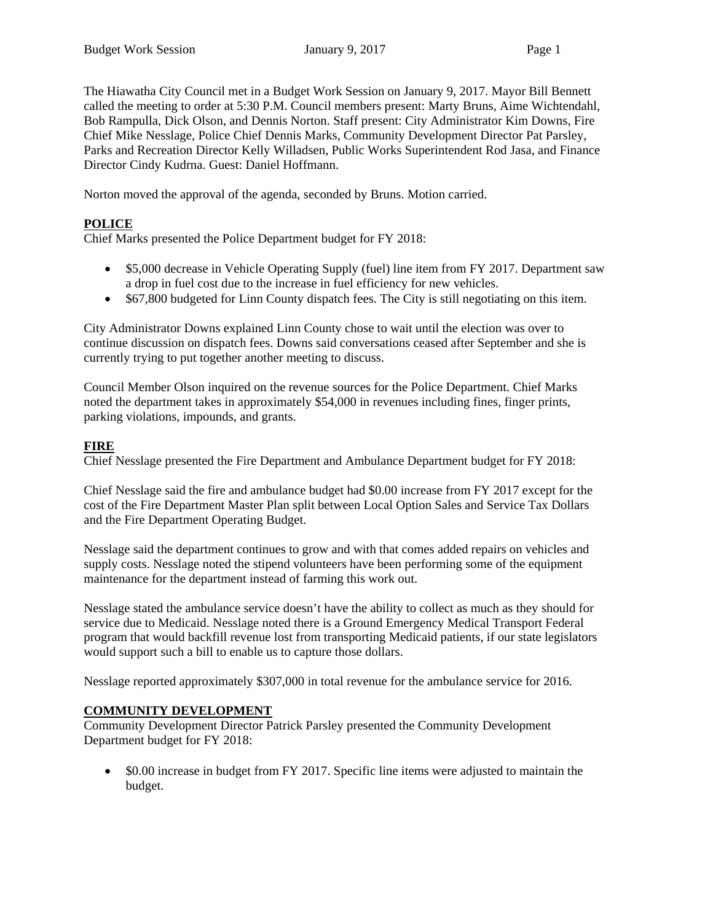The Hiawatha City Council met in a Budget Work Session on January 9, 2017. Mayor Bill Bennett called the meeting to order at 5:30 P.M. Council members present: Marty Bruns, Aime Wichtendahl, Bob Rampulla, Dick Olson, and Dennis Norton. Staff present: City Administrator Kim Downs, Fire Chief Mike Nesslage, Police Chief Dennis Marks, Community Development Director Pat Parsley, Parks and Recreation Director Kelly Willadsen, Public Works Superintendent Rod Jasa, and Finance Director Cindy Kudrna. Guest: Daniel Hoffmann.

Norton moved the approval of the agenda, seconded by Bruns. Motion carried.

# **POLICE**

Chief Marks presented the Police Department budget for FY 2018:

- \$5,000 decrease in Vehicle Operating Supply (fuel) line item from FY 2017. Department saw a drop in fuel cost due to the increase in fuel efficiency for new vehicles.
- \$67,800 budgeted for Linn County dispatch fees. The City is still negotiating on this item.

City Administrator Downs explained Linn County chose to wait until the election was over to continue discussion on dispatch fees. Downs said conversations ceased after September and she is currently trying to put together another meeting to discuss.

Council Member Olson inquired on the revenue sources for the Police Department. Chief Marks noted the department takes in approximately \$54,000 in revenues including fines, finger prints, parking violations, impounds, and grants.

### **FIRE**

Chief Nesslage presented the Fire Department and Ambulance Department budget for FY 2018:

Chief Nesslage said the fire and ambulance budget had \$0.00 increase from FY 2017 except for the cost of the Fire Department Master Plan split between Local Option Sales and Service Tax Dollars and the Fire Department Operating Budget.

Nesslage said the department continues to grow and with that comes added repairs on vehicles and supply costs. Nesslage noted the stipend volunteers have been performing some of the equipment maintenance for the department instead of farming this work out.

Nesslage stated the ambulance service doesn't have the ability to collect as much as they should for service due to Medicaid. Nesslage noted there is a Ground Emergency Medical Transport Federal program that would backfill revenue lost from transporting Medicaid patients, if our state legislators would support such a bill to enable us to capture those dollars.

Nesslage reported approximately \$307,000 in total revenue for the ambulance service for 2016.

### **COMMUNITY DEVELOPMENT**

Community Development Director Patrick Parsley presented the Community Development Department budget for FY 2018:

• \$0.00 increase in budget from FY 2017. Specific line items were adjusted to maintain the budget.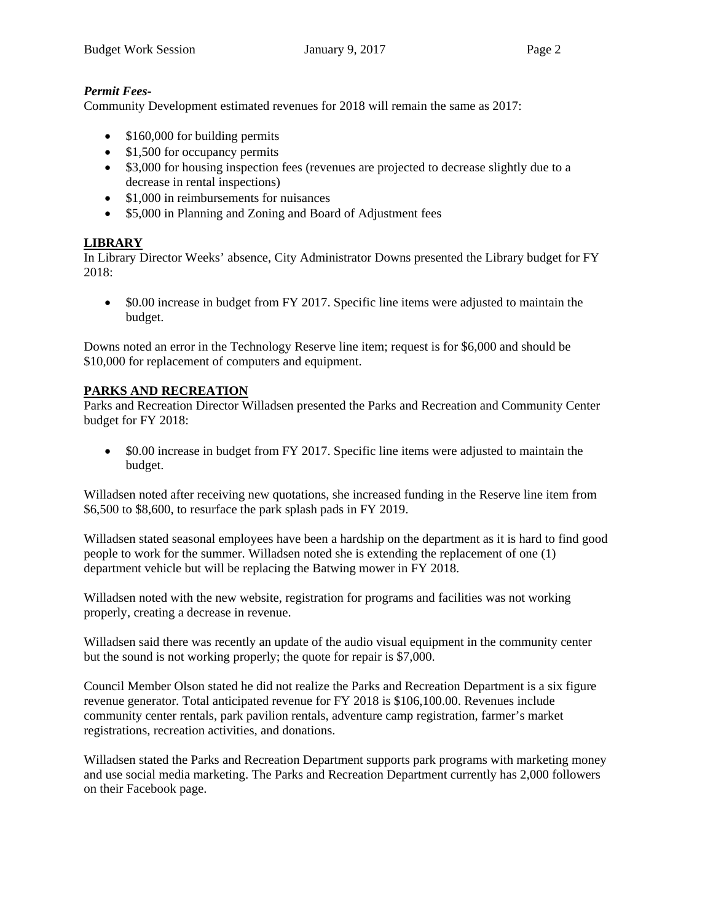## *Permit Fees-*

Community Development estimated revenues for 2018 will remain the same as 2017:

- \$160,000 for building permits
- \$1,500 for occupancy permits
- \$3,000 for housing inspection fees (revenues are projected to decrease slightly due to a decrease in rental inspections)
- \$1,000 in reimbursements for nuisances
- \$5,000 in Planning and Zoning and Board of Adjustment fees

# **LIBRARY**

In Library Director Weeks' absence, City Administrator Downs presented the Library budget for FY 2018:

 \$0.00 increase in budget from FY 2017. Specific line items were adjusted to maintain the budget.

Downs noted an error in the Technology Reserve line item; request is for \$6,000 and should be \$10,000 for replacement of computers and equipment.

### **PARKS AND RECREATION**

Parks and Recreation Director Willadsen presented the Parks and Recreation and Community Center budget for FY 2018:

• \$0.00 increase in budget from FY 2017. Specific line items were adjusted to maintain the budget.

Willadsen noted after receiving new quotations, she increased funding in the Reserve line item from \$6,500 to \$8,600, to resurface the park splash pads in FY 2019.

Willadsen stated seasonal employees have been a hardship on the department as it is hard to find good people to work for the summer. Willadsen noted she is extending the replacement of one (1) department vehicle but will be replacing the Batwing mower in FY 2018.

Willadsen noted with the new website, registration for programs and facilities was not working properly, creating a decrease in revenue.

Willadsen said there was recently an update of the audio visual equipment in the community center but the sound is not working properly; the quote for repair is \$7,000.

Council Member Olson stated he did not realize the Parks and Recreation Department is a six figure revenue generator. Total anticipated revenue for FY 2018 is \$106,100.00. Revenues include community center rentals, park pavilion rentals, adventure camp registration, farmer's market registrations, recreation activities, and donations.

Willadsen stated the Parks and Recreation Department supports park programs with marketing money and use social media marketing. The Parks and Recreation Department currently has 2,000 followers on their Facebook page.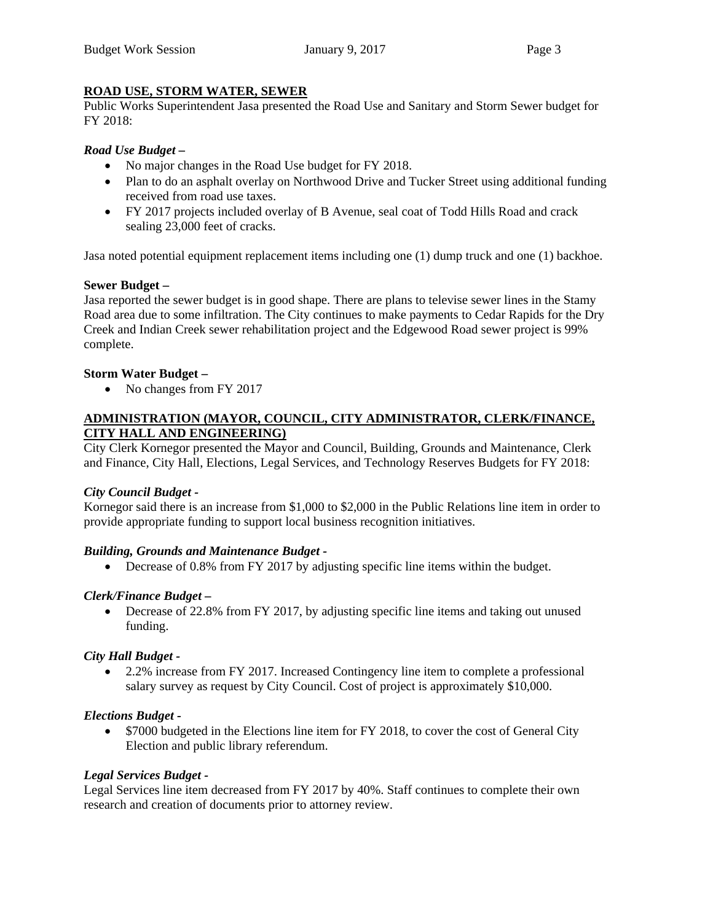### **ROAD USE, STORM WATER, SEWER**

Public Works Superintendent Jasa presented the Road Use and Sanitary and Storm Sewer budget for FY 2018:

### *Road Use Budget –*

- No major changes in the Road Use budget for FY 2018.
- Plan to do an asphalt overlay on Northwood Drive and Tucker Street using additional funding received from road use taxes.
- FY 2017 projects included overlay of B Avenue, seal coat of Todd Hills Road and crack sealing 23,000 feet of cracks.

Jasa noted potential equipment replacement items including one (1) dump truck and one (1) backhoe.

#### **Sewer Budget –**

Jasa reported the sewer budget is in good shape. There are plans to televise sewer lines in the Stamy Road area due to some infiltration. The City continues to make payments to Cedar Rapids for the Dry Creek and Indian Creek sewer rehabilitation project and the Edgewood Road sewer project is 99% complete.

#### **Storm Water Budget –**

• No changes from FY 2017

### **ADMINISTRATION (MAYOR, COUNCIL, CITY ADMINISTRATOR, CLERK/FINANCE, CITY HALL AND ENGINEERING)**

City Clerk Kornegor presented the Mayor and Council, Building, Grounds and Maintenance, Clerk and Finance, City Hall, Elections, Legal Services, and Technology Reserves Budgets for FY 2018:

#### *City Council Budget -*

Kornegor said there is an increase from \$1,000 to \$2,000 in the Public Relations line item in order to provide appropriate funding to support local business recognition initiatives.

#### *Building, Grounds and Maintenance Budget -*

• Decrease of 0.8% from FY 2017 by adjusting specific line items within the budget.

#### *Clerk/Finance Budget –*

 Decrease of 22.8% from FY 2017, by adjusting specific line items and taking out unused funding.

#### *City Hall Budget -*

 2.2% increase from FY 2017. Increased Contingency line item to complete a professional salary survey as request by City Council. Cost of project is approximately \$10,000.

#### *Elections Budget -*

• \$7000 budgeted in the Elections line item for FY 2018, to cover the cost of General City Election and public library referendum.

#### *Legal Services Budget -*

Legal Services line item decreased from FY 2017 by 40%. Staff continues to complete their own research and creation of documents prior to attorney review.